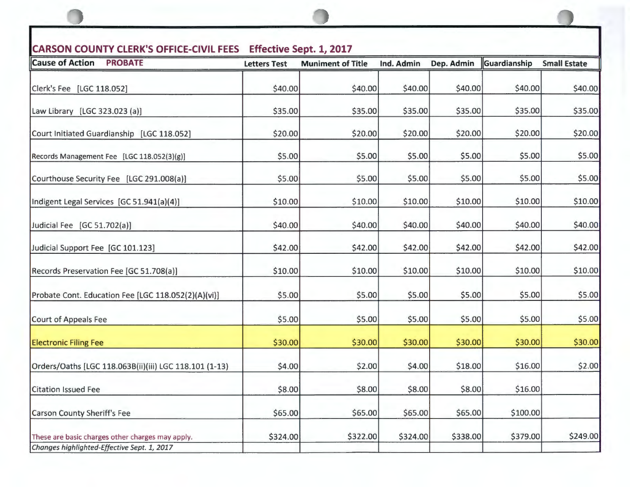| CARSON COUNTY CLERK'S OFFICE-CIVIL FEES Effective Sept. 1, 2017<br><b>Cause of Action</b><br><b>PROBATE</b> |                     |                          |            |            |              |                     |  |
|-------------------------------------------------------------------------------------------------------------|---------------------|--------------------------|------------|------------|--------------|---------------------|--|
|                                                                                                             | <b>Letters Test</b> | <b>Muniment of Title</b> | Ind. Admin | Dep. Admin | Guardianship | <b>Small Estate</b> |  |
| Clerk's Fee [LGC 118.052]                                                                                   | \$40.00             | \$40.00                  | \$40.00    | \$40.00    | \$40.00      | \$40.00             |  |
| Law Library [LGC 323.023 (a)]                                                                               | \$35.00             | \$35.00                  | \$35.00    | \$35.00    | \$35.00      | \$35.00             |  |
| Court Initiated Guardianship [LGC 118.052]                                                                  | \$20.00             | \$20.00                  | \$20.00    | \$20.00    | \$20.00      | \$20.00             |  |
| Records Management Fee [LGC 118.052(3)(g)]                                                                  | \$5.00              | \$5.00                   | \$5.00     | \$5.00     | \$5.00       | \$5.00              |  |
| Courthouse Security Fee [LGC 291.008(a)]                                                                    | \$5.00              | \$5.00                   | \$5.00     | \$5.00     | \$5.00       | \$5.00              |  |
| Indigent Legal Services [GC 51.941(a)(4)]                                                                   | \$10.00             | \$10.00                  | \$10.00    | \$10.00    | \$10.00      | \$10.00             |  |
| Judicial Fee [GC 51.702(a)]                                                                                 | \$40.00             | \$40.00                  | \$40.00    | \$40.00    | \$40.00      | \$40.00             |  |
| Judicial Support Fee [GC 101.123]                                                                           | \$42.00             | \$42.00                  | \$42.00    | \$42.00    | \$42.00      | \$42.00             |  |
| Records Preservation Fee [GC 51.708(a)]                                                                     | \$10.00             | \$10.00                  | \$10.00    | \$10.00    | \$10.00      | \$10.00             |  |
| Probate Cont. Education Fee [LGC 118.052(2)(A)(vi)]                                                         | \$5.00              | \$5.00                   | \$5.00     | \$5.00     | \$5.00       | \$5.00              |  |
| Court of Appeals Fee                                                                                        | \$5.00              | \$5.00                   | \$5.00     | \$5.00     | \$5.00       | \$5.00              |  |
| <b>Electronic Filing Fee</b>                                                                                | \$30.00             | \$30.00                  | \$30.00    | \$30.00    | \$30.00      | \$30.00             |  |
| Orders/Oaths [LGC 118.063B(ii)(iii) LGC 118.101 (1-13)                                                      | \$4.00              | \$2.00                   | \$4.00     | \$18.00    | \$16.00      | \$2.00              |  |
| <b>Citation Issued Fee</b>                                                                                  | \$8.00              | \$8.00                   | \$8.00     | \$8.00     | \$16.00      |                     |  |
| <b>Carson County Sheriff's Fee</b>                                                                          | \$65.00             | \$65.00                  | \$65.00    | \$65.00    | \$100.00     |                     |  |
| These are basic charges other charges may apply.<br>Changes highlighted-Effective Sept. 1, 2017             | \$324.00            | \$322.00                 | \$324.00   | \$338.00   | \$379.00     | \$249.00            |  |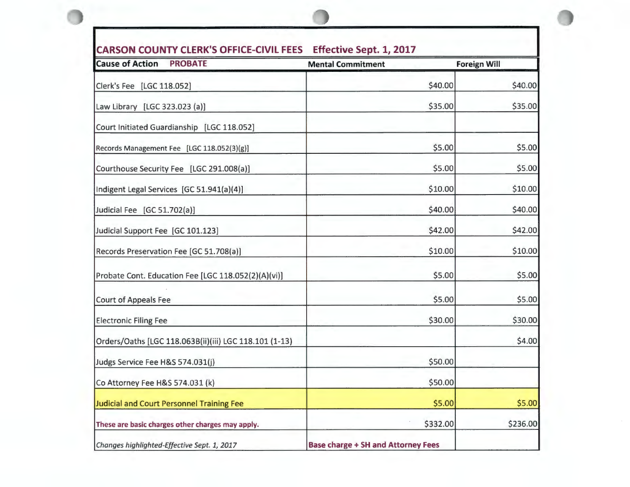| <b>CARSON COUNTY CLERK'S OFFICE-CIVIL FEES</b><br><b>Effective Sept. 1, 2017</b> |                                           |                     |          |  |
|----------------------------------------------------------------------------------|-------------------------------------------|---------------------|----------|--|
| <b>Cause of Action</b><br><b>PROBATE</b>                                         | <b>Mental Commitment</b>                  | <b>Foreign Will</b> |          |  |
| Clerk's Fee [LGC 118.052]                                                        |                                           | \$40.00             | \$40.00  |  |
| Law Library [LGC 323.023 (a)]                                                    |                                           | \$35.00             | \$35.00  |  |
| Court Initiated Guardianship [LGC 118.052]                                       |                                           |                     |          |  |
| Records Management Fee [LGC 118.052(3)(g)]                                       |                                           | \$5.00              | \$5.00   |  |
| Courthouse Security Fee [LGC 291.008(a)]                                         |                                           | \$5.00              | \$5.00   |  |
| Indigent Legal Services [GC 51.941(a)(4)]                                        |                                           | \$10.00             | \$10.00  |  |
| Judicial Fee [GC 51.702(a)]                                                      |                                           | \$40.00             | \$40.00  |  |
| Judicial Support Fee [GC 101.123]                                                |                                           | \$42.00             | \$42.00  |  |
| Records Preservation Fee [GC 51.708(a)]                                          |                                           | \$10.00             | \$10.00  |  |
| Probate Cont. Education Fee [LGC 118.052(2)(A)(vi)]                              |                                           | \$5.00              | \$5.00   |  |
| <b>Court of Appeals Fee</b>                                                      |                                           | \$5.00              | \$5.00   |  |
| <b>Electronic Filing Fee</b>                                                     |                                           | \$30.00             | \$30.00  |  |
| Orders/Oaths [LGC 118.063B(ii)(iii) LGC 118.101 (1-13)                           |                                           |                     | \$4.00   |  |
| Judgs Service Fee H&S 574.031(j)                                                 |                                           | \$50.00             |          |  |
| Co Attorney Fee H&S 574.031 (k)                                                  |                                           | \$50.00             |          |  |
| Judicial and Court Personnel Training Fee                                        |                                           | \$5.00              | \$5.00   |  |
| These are basic charges other charges may apply.                                 |                                           | \$332.00            | \$236.00 |  |
| Changes highlighted-Effective Sept. 1, 2017                                      | <b>Base charge + SH and Attorney Fees</b> |                     |          |  |

**0**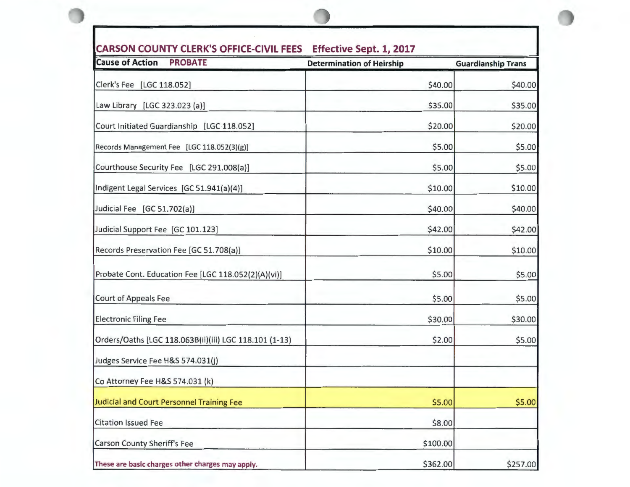| <b>Cause of Action</b><br><b>PROBATE</b>               | <b>Determination of Heirship</b> | <b>Guardianship Trans</b> |
|--------------------------------------------------------|----------------------------------|---------------------------|
| Clerk's Fee [LGC 118.052]                              | \$40.00                          | \$40.00                   |
| Law Library [LGC 323.023 (a)]                          | \$35.00                          | \$35.00                   |
| Court Initiated Guardianship [LGC 118.052]             | \$20.00                          | \$20.00                   |
| Records Management Fee [LGC 118.052(3)(g)]             | \$5.00                           | \$5.00                    |
| Courthouse Security Fee [LGC 291.008(a)]               | \$5.00                           | \$5.00                    |
| Indigent Legal Services [GC 51.941(a)(4)]              | \$10.00                          | \$10.00                   |
| Judicial Fee [GC 51.702(a)]                            | \$40.00                          | \$40.00                   |
| Judicial Support Fee [GC 101.123]                      | \$42.00                          | \$42.00                   |
| Records Preservation Fee [GC 51.708(a)]                | \$10.00                          | \$10.00                   |
| Probate Cont. Education Fee [LGC 118.052(2)(A)(vi)]    | \$5.00                           | \$5.00                    |
| Court of Appeals Fee                                   | \$5.00                           | \$5.00                    |
| <b>Electronic Filing Fee</b>                           | \$30.00                          | \$30.00                   |
| Orders/Oaths [LGC 118.063B(ii)(iii) LGC 118.101 (1-13) | \$2.00                           | \$5.00                    |
| Judges Service Fee H&S 574.031(j)                      |                                  |                           |
| Co Attorney Fee H&S 574.031 (k)                        |                                  |                           |
| Judicial and Court Personnel Training Fee              | \$5.00                           | \$5.00                    |
| <b>Citation Issued Fee</b>                             | \$8.00                           |                           |
| <b>Carson County Sheriff's Fee</b>                     | \$100.00                         |                           |
| These are basic charges other charges may apply.       | \$362.00                         | \$257.00                  |

**0** 

## **CARSON COUNTY CLERK'S OFFICE-CIVIL FEES Effective Sept. 1, 2017**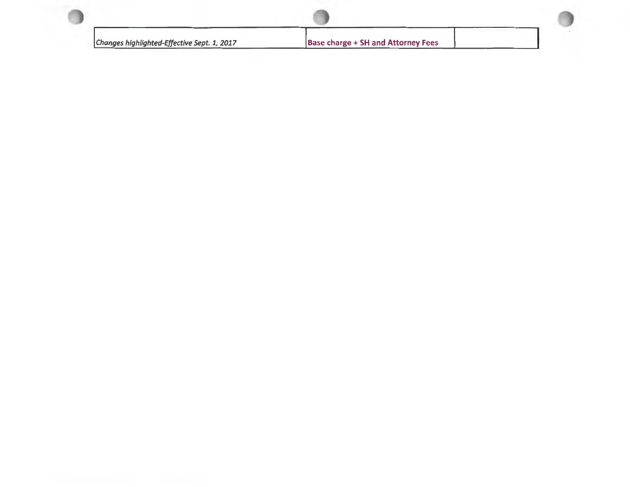| Changes highlighted-Effective Sept. 1, 2017 | <b>Base charge + SH and Attorney Fees</b> |  |  |
|---------------------------------------------|-------------------------------------------|--|--|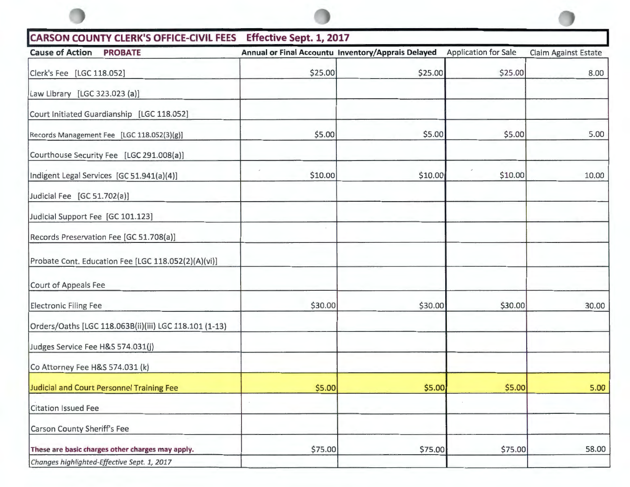| CARSON COUNTY CLERK'S OFFICE-CIVIL FEES Effective Sept. 1, 2017 |         |                                                    |                             |                             |
|-----------------------------------------------------------------|---------|----------------------------------------------------|-----------------------------|-----------------------------|
| <b>Cause of Action</b><br><b>PROBATE</b>                        |         | Annual or Final Accountu Inventory/Apprais Delayed | <b>Application for Sale</b> | <b>Claim Against Estate</b> |
| Clerk's Fee [LGC 118.052]                                       | \$25.00 | \$25.00                                            | \$25.00                     | 8.00                        |
| Law Library [LGC 323.023 (a)]                                   |         |                                                    |                             |                             |
| Court Initiated Guardianship [LGC 118.052]                      |         |                                                    |                             |                             |
| Records Management Fee [LGC 118.052(3)(g)]                      | \$5.00  | \$5.00                                             | \$5.00                      | 5.00                        |
| Courthouse Security Fee [LGC 291.008(a)]                        |         |                                                    |                             |                             |
| Indigent Legal Services [GC 51.941(a)(4)]                       | \$10.00 | \$10.00                                            | \$10.00                     | 10.00                       |
| Judicial Fee [GC 51.702(a)]                                     |         |                                                    |                             |                             |
| Judicial Support Fee [GC 101.123]                               |         |                                                    |                             |                             |
| Records Preservation Fee [GC 51.708(a)]                         |         |                                                    |                             |                             |
| Probate Cont. Education Fee [LGC 118.052(2)(A)(vi)]             |         |                                                    |                             |                             |
| Court of Appeals Fee                                            |         |                                                    |                             |                             |
| <b>Electronic Filing Fee</b>                                    | \$30.00 | \$30.00                                            | \$30.00                     | 30.00                       |
| Orders/Oaths [LGC 118.063B(ii)(iii) LGC 118.101 (1-13)          |         |                                                    |                             |                             |
| Judges Service Fee H&S 574.031(j)                               |         |                                                    |                             |                             |
| Co Attorney Fee H&S 574.031 (k)                                 |         |                                                    |                             |                             |
| Judicial and Court Personnel Training Fee                       | \$5.00  | \$5.00                                             | \$5.00                      | 5.00                        |
| <b>Citation Issued Fee</b>                                      |         |                                                    |                             |                             |
| Carson County Sheriff's Fee                                     |         |                                                    |                             |                             |
| These are basic charges other charges may apply.                | \$75.00 | \$75.00                                            | \$75.00                     | 58.00                       |
| Changes highlighted-Effective Sept. 1, 2017                     |         |                                                    |                             |                             |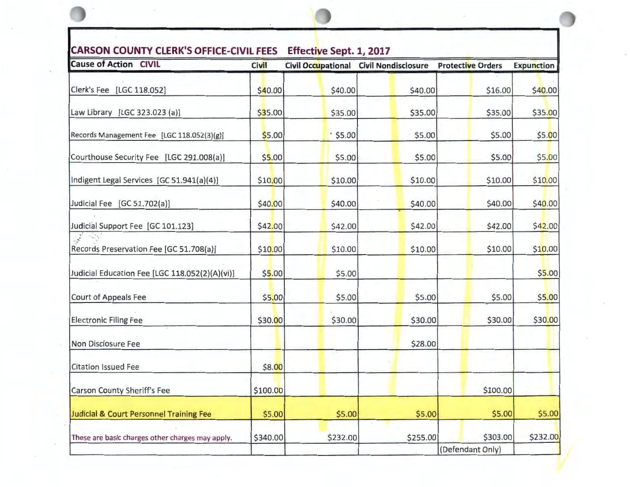| \$40.00 |         |                                                                                                                               |                                                                                                                                        |                                                                                                                              |
|---------|---------|-------------------------------------------------------------------------------------------------------------------------------|----------------------------------------------------------------------------------------------------------------------------------------|------------------------------------------------------------------------------------------------------------------------------|
|         | \$40.00 | \$40.00                                                                                                                       | \$16.00                                                                                                                                | \$40.00                                                                                                                      |
| \$35.00 | \$35.00 | \$35.00                                                                                                                       | \$35.00                                                                                                                                | \$35.00                                                                                                                      |
|         |         |                                                                                                                               | \$5.00                                                                                                                                 | \$5.00                                                                                                                       |
| \$5.00  |         |                                                                                                                               | \$5.00                                                                                                                                 | \$5.00                                                                                                                       |
|         |         |                                                                                                                               | \$10.00                                                                                                                                | \$10.00                                                                                                                      |
|         |         |                                                                                                                               | \$40.00                                                                                                                                | \$40.00                                                                                                                      |
|         |         |                                                                                                                               | \$42.00                                                                                                                                | \$42.00                                                                                                                      |
|         |         |                                                                                                                               | \$10.00                                                                                                                                | \$10.00                                                                                                                      |
|         |         |                                                                                                                               |                                                                                                                                        | \$5.00                                                                                                                       |
|         |         |                                                                                                                               | \$5.00                                                                                                                                 | \$5.00                                                                                                                       |
|         |         |                                                                                                                               | \$30.00                                                                                                                                | \$30.00                                                                                                                      |
|         |         |                                                                                                                               |                                                                                                                                        |                                                                                                                              |
|         |         |                                                                                                                               |                                                                                                                                        |                                                                                                                              |
|         |         |                                                                                                                               | \$100.00                                                                                                                               |                                                                                                                              |
|         |         |                                                                                                                               | \$5.00                                                                                                                                 | \$5.00                                                                                                                       |
|         |         |                                                                                                                               | \$303.00                                                                                                                               | \$232.00                                                                                                                     |
|         |         | \$5.00<br>\$10.00<br>\$40.00<br>\$42.00<br>\$10.00<br>\$5.00<br>\$5.00<br>\$30.00<br>\$8.00<br>\$100.00<br>\$5.00<br>\$340.00 | $^{\circ}$ \$5.00<br>\$5.00<br>\$5.00<br>\$10.00<br>\$40.00<br>\$42.00<br>\$10.00<br>\$5.00<br>\$5.00<br>\$30.00<br>\$5.00<br>\$232.00 | \$5.00<br>\$10.00<br>\$40.00<br>\$42.00<br>\$10.00<br>\$5.00<br>\$30.00<br>\$28.00<br>\$5.00<br>\$255.00<br>(Defendant Only) |

 $\mathcal{L}_{\mathcal{A}}$ 

**\0** 

 $\cdot$